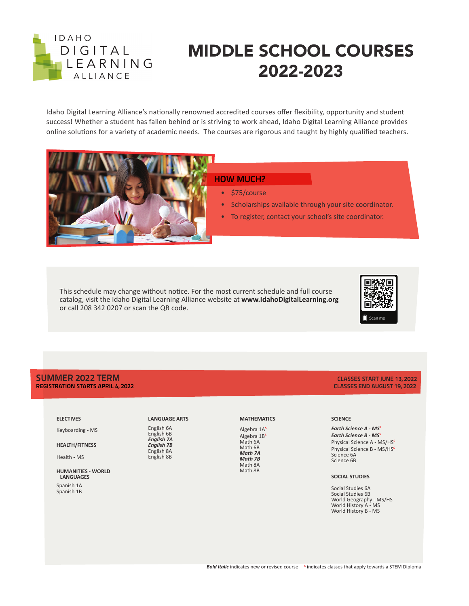

# MIDDLE SCHOOL COURSES 2022-2023

Idaho Digital Learning Alliance's nationally renowned accredited courses offer flexibility, opportunity and student success! Whether a student has fallen behind or is striving to work ahead, Idaho Digital Learning Alliance provides online solutions for a variety of academic needs. The courses are rigorous and taught by highly qualified teachers.



# HOW MUCH?

- \$75/course
- Scholarships available through your site coordinator.
- To register, contact your school's site coordinator.

This schedule may change without notice. For the most current schedule and full course catalog, visit the Idaho Digital Learning Alliance website at **www.IdahoDigitalLearning.org** or call 208 342 0207 or scan the QR code.



# SUMMER 2022 TERM CLASSES START JUNE 13, 2022<br>REGISTRATION STARTS APRIL 4, 2022 CLASSES END AUGUST 19, 2022 REGISTRATION STARTS APRIL 4, 2022

### **ELECTIVES**

Keyboarding - MS

**HEALTH/FITNESS**

Health - MS

**HUMANITIES - WORLD LANGUAGES**

Spanish 1A Spanish 1B

# **LANGUAGE ARTS**

English 6A English 6B *English 7A English 7B* English 8A English 8B

#### **MATHEMATICS**

Algebra 1A**<sup>S</sup>** Algebra 1B**<sup>S</sup>** Math 6A Math 6B *Math 7A Math 7B* Math 8A Math 8B

## **SCIENCE**

**Earth Science A - MS<sup>S</sup>** *Earth Science B - MS*<sup>*s*</sup> Physical Science A - MS/HS<sup>s</sup> Physical Science B - MS/HS**<sup>S</sup>** Science 6A Science 6B

### **SOCIAL STUDIES**

Social Studies 6A Social Studies 6B World Geography - MS/HS World History A - MS World History B - MS

**Bold Italic** indicates new or revised course <sup>s</sup> indicates classes that apply towards a STEM Diploma